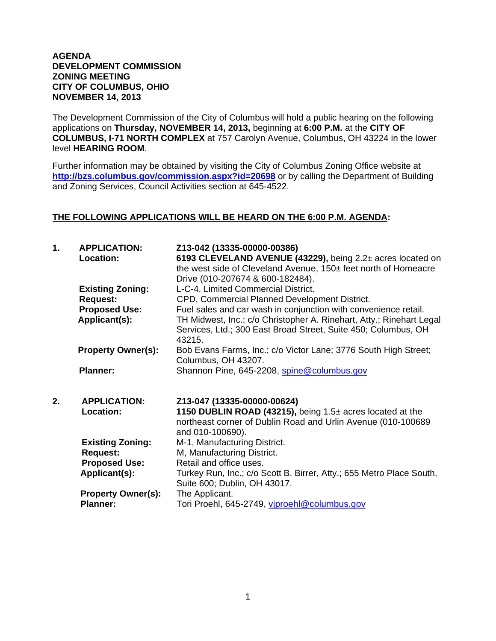## **AGENDA DEVELOPMENT COMMISSION ZONING MEETING CITY OF COLUMBUS, OHIO NOVEMBER 14, 2013**

The Development Commission of the City of Columbus will hold a public hearing on the following applications on **Thursday, NOVEMBER 14, 2013,** beginning at **6:00 P.M.** at the **CITY OF COLUMBUS, I-71 NORTH COMPLEX** at 757 Carolyn Avenue, Columbus, OH 43224 in the lower level **HEARING ROOM**.

Further information may be obtained by visiting the City of Columbus Zoning Office website at **http://bzs.columbus.gov/commission.aspx?id=20698** or by calling the Department of Building and Zoning Services, Council Activities section at 645-4522.

## **THE FOLLOWING APPLICATIONS WILL BE HEARD ON THE 6:00 P.M. AGENDA:**

| 1. | <b>APPLICATION:</b><br>Location: | Z13-042 (13335-00000-00386)<br>6193 CLEVELAND AVENUE (43229), being 2.2± acres located on<br>the west side of Cleveland Avenue, 150± feet north of Homeacre<br>Drive (010-207674 & 600-182484). |
|----|----------------------------------|-------------------------------------------------------------------------------------------------------------------------------------------------------------------------------------------------|
|    | <b>Existing Zoning:</b>          | L-C-4, Limited Commercial District.                                                                                                                                                             |
|    | <b>Request:</b>                  | CPD, Commercial Planned Development District.                                                                                                                                                   |
|    | <b>Proposed Use:</b>             | Fuel sales and car wash in conjunction with convenience retail.                                                                                                                                 |
|    | Applicant(s):                    | TH Midwest, Inc.; c/o Christopher A. Rinehart, Atty.; Rinehart Legal<br>Services, Ltd.; 300 East Broad Street, Suite 450; Columbus, OH<br>43215.                                                |
|    | <b>Property Owner(s):</b>        | Bob Evans Farms, Inc.; c/o Victor Lane; 3776 South High Street;<br>Columbus, OH 43207.                                                                                                          |
|    | <b>Planner:</b>                  | Shannon Pine, 645-2208, spine@columbus.gov                                                                                                                                                      |
| 2. | <b>APPLICATION:</b><br>Location: | Z13-047 (13335-00000-00624)<br>1150 DUBLIN ROAD (43215), being $1.5\pm$ acres located at the<br>northeast corner of Dublin Road and Urlin Avenue (010-100689<br>and 010-100690).                |
|    | <b>Existing Zoning:</b>          | M-1, Manufacturing District.                                                                                                                                                                    |
|    | <b>Request:</b>                  | M, Manufacturing District.                                                                                                                                                                      |
|    | <b>Proposed Use:</b>             | Retail and office uses.                                                                                                                                                                         |
|    | Applicant(s):                    | Turkey Run, Inc.; c/o Scott B. Birrer, Atty.; 655 Metro Place South,<br>Suite 600; Dublin, OH 43017.                                                                                            |
|    | <b>Property Owner(s):</b>        | The Applicant.                                                                                                                                                                                  |
|    | <b>Planner:</b>                  | Tori Proehl, 645-2749, viproehl@columbus.gov                                                                                                                                                    |